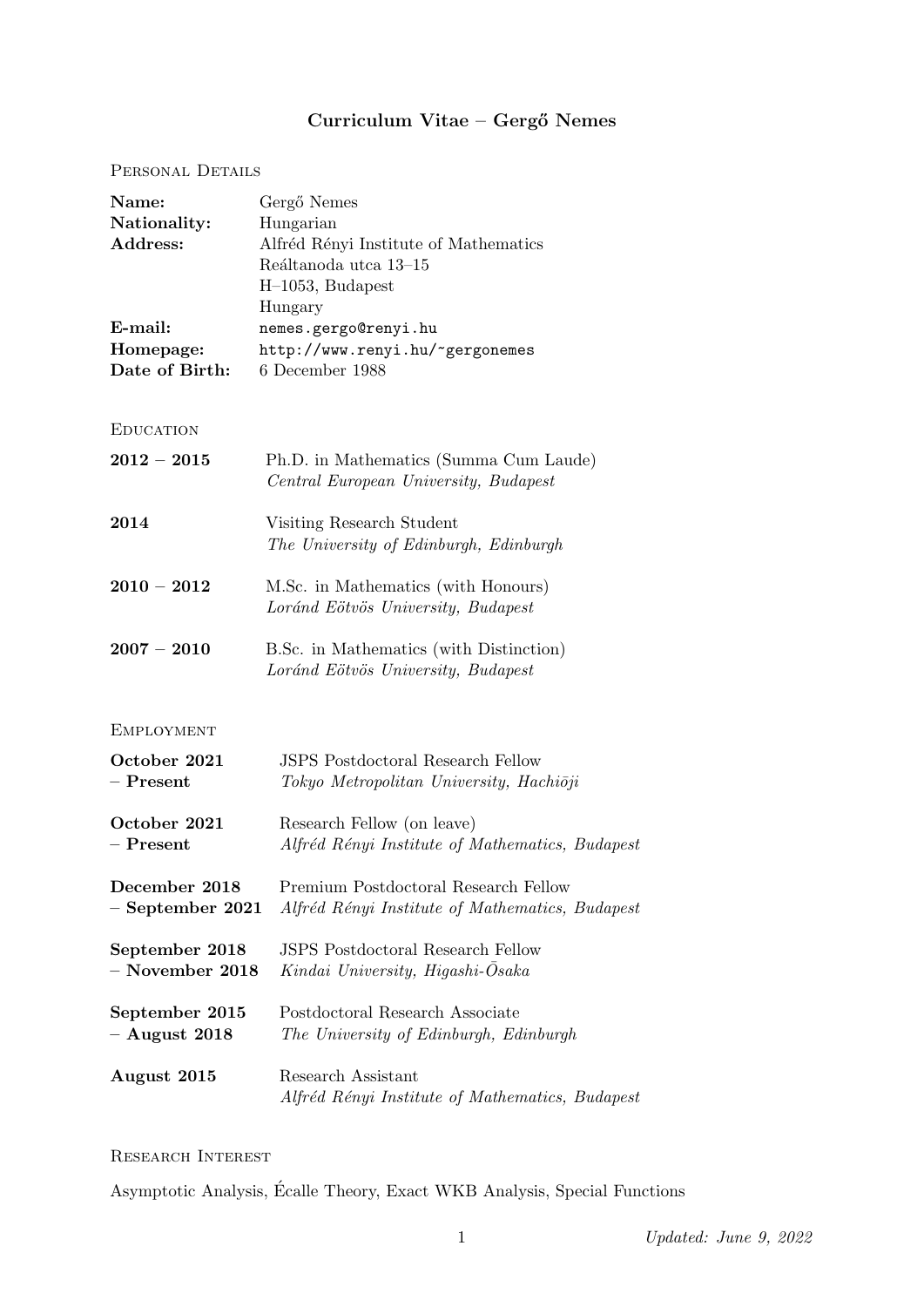# Curriculum Vitae – Gergő Nemes

# PERSONAL DETAILS

| Name:<br>Nationality:<br>Address:<br>E-mail:<br>Homepage:<br>Date of Birth: | Gergő Nemes<br>Hungarian<br>Alfréd Rényi Institute of Mathematics<br>Reáltanoda utca 13-15<br>H-1053, Budapest<br>Hungary<br>nemes.gergo@renyi.hu<br>http://www.renyi.hu/~gergonemes<br>6 December 1988 |
|-----------------------------------------------------------------------------|---------------------------------------------------------------------------------------------------------------------------------------------------------------------------------------------------------|
| <b>EDUCATION</b>                                                            |                                                                                                                                                                                                         |
| $2012 - 2015$                                                               | Ph.D. in Mathematics (Summa Cum Laude)<br>Central European University, Budapest                                                                                                                         |
| 2014                                                                        | Visiting Research Student<br>The University of Edinburgh, Edinburgh                                                                                                                                     |
| $2010 - 2012$                                                               | M.Sc. in Mathematics (with Honours)<br>Loránd Eötvös University, Budapest                                                                                                                               |
| $2007 - 2010$                                                               | B.Sc. in Mathematics (with Distinction)<br>Loránd Eötvös University, Budapest                                                                                                                           |
| <b>EMPLOYMENT</b>                                                           |                                                                                                                                                                                                         |
| October 2021<br>$-$ Present                                                 | <b>JSPS</b> Postdoctoral Research Fellow<br>Tokyo Metropolitan University, Hachiōji                                                                                                                     |
| October 2021<br>$-$ Present                                                 | Research Fellow (on leave)<br>Alfréd Rényi Institute of Mathematics, Budapest                                                                                                                           |
| December 2018<br>$-$ September 2021                                         | Premium Postdoctoral Research Fellow<br>Alfréd Rényi Institute of Mathematics, Budapest                                                                                                                 |
| September 2018<br>$-$ November 2018                                         | <b>JSPS</b> Postdoctoral Research Fellow<br>Kindai University, Higashi-Osaka                                                                                                                            |
| September 2015<br>$-$ August 2018                                           | Postdoctoral Research Associate<br>The University of Edinburgh, Edinburgh                                                                                                                               |
| August 2015                                                                 | Research Assistant<br>Alfréd Rényi Institute of Mathematics, Budapesi                                                                                                                                   |

Research Interest

Asymptotic Analysis, Ecalle Theory, Exact WKB Analysis, Special Functions ´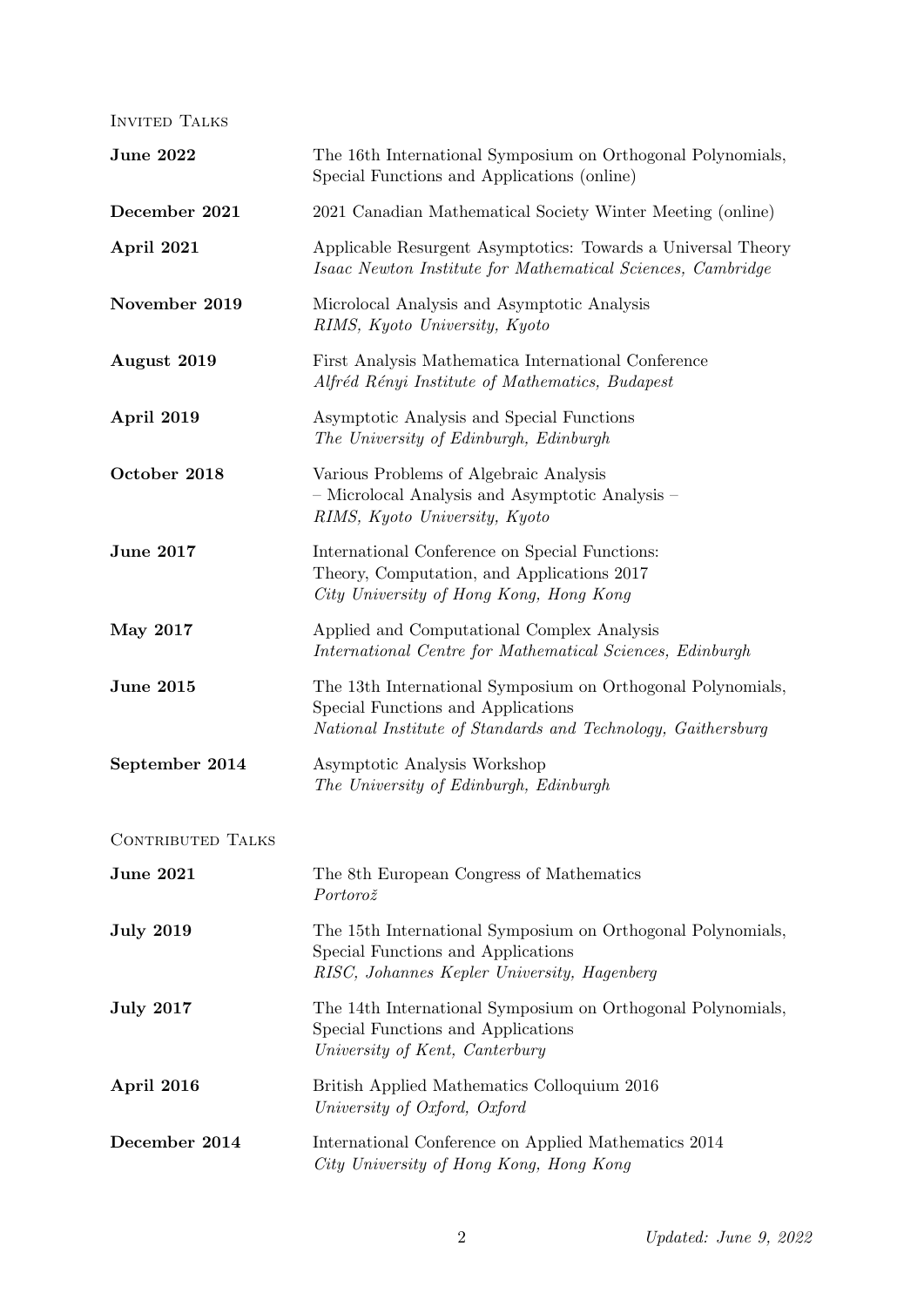INVITED TALKS

| <b>June 2022</b>         | The 16th International Symposium on Orthogonal Polynomials,<br>Special Functions and Applications (online)                                                        |  |
|--------------------------|-------------------------------------------------------------------------------------------------------------------------------------------------------------------|--|
| December 2021            | 2021 Canadian Mathematical Society Winter Meeting (online)                                                                                                        |  |
| April 2021               | Applicable Resurgent Asymptotics: Towards a Universal Theory<br>Isaac Newton Institute for Mathematical Sciences, Cambridge                                       |  |
| November 2019            | Microlocal Analysis and Asymptotic Analysis<br>RIMS, Kyoto University, Kyoto                                                                                      |  |
| August 2019              | First Analysis Mathematica International Conference<br>Alfréd Rényi Institute of Mathematics, Budapest                                                            |  |
| April 2019               | Asymptotic Analysis and Special Functions<br>The University of Edinburgh, Edinburgh                                                                               |  |
| October 2018             | Various Problems of Algebraic Analysis<br>- Microlocal Analysis and Asymptotic Analysis -<br>RIMS, Kyoto University, Kyoto                                        |  |
| <b>June 2017</b>         | International Conference on Special Functions:<br>Theory, Computation, and Applications 2017<br>City University of Hong Kong, Hong Kong                           |  |
| <b>May 2017</b>          | Applied and Computational Complex Analysis<br>International Centre for Mathematical Sciences, Edinburgh                                                           |  |
| <b>June 2015</b>         | The 13th International Symposium on Orthogonal Polynomials,<br>Special Functions and Applications<br>National Institute of Standards and Technology, Gaithersburg |  |
| September 2014           | Asymptotic Analysis Workshop<br>The University of Edinburgh, Edinburgh                                                                                            |  |
| <b>CONTRIBUTED TALKS</b> |                                                                                                                                                                   |  |
| <b>June 2021</b>         | The 8th European Congress of Mathematics<br>Portorož                                                                                                              |  |
| <b>July 2019</b>         | The 15th International Symposium on Orthogonal Polynomials,<br>Special Functions and Applications<br>RISC, Johannes Kepler University, Hagenberg                  |  |
| <b>July 2017</b>         | The 14th International Symposium on Orthogonal Polynomials,<br>Special Functions and Applications<br>University of Kent, Canterbury                               |  |
| April 2016               | British Applied Mathematics Colloquium 2016<br>University of Oxford, Oxford                                                                                       |  |
| December 2014            | International Conference on Applied Mathematics 2014<br>City University of Hong Kong, Hong Kong                                                                   |  |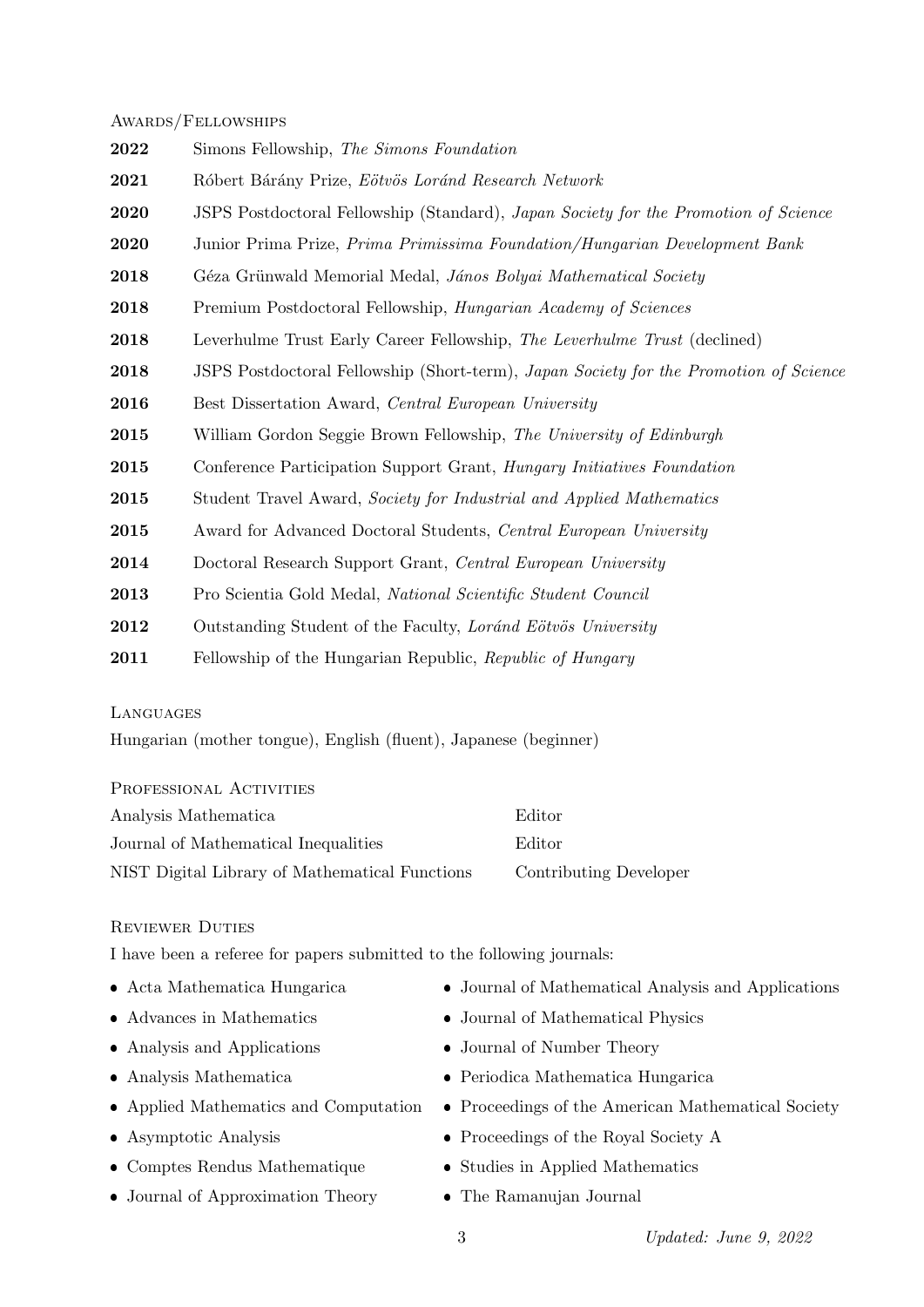#### Awards/Fellowships

| 2022 | Simons Fellowship, The Simons Foundation                                              |
|------|---------------------------------------------------------------------------------------|
| 2021 | Róbert Bárány Prize, Eötvös Loránd Research Network                                   |
| 2020 | JSPS Postdoctoral Fellowship (Standard), Japan Society for the Promotion of Science   |
| 2020 | Junior Prima Prize, Prima Primissima Foundation/Hungarian Development Bank            |
| 2018 | Géza Grünwald Memorial Medal, János Bolyai Mathematical Society                       |
| 2018 | Premium Postdoctoral Fellowship, <i>Hungarian Academy of Sciences</i>                 |
| 2018 | Leverhulme Trust Early Career Fellowship, The Leverhulme Trust (declined)             |
| 2018 | JSPS Postdoctoral Fellowship (Short-term), Japan Society for the Promotion of Science |
| 2016 | Best Dissertation Award, Central European University                                  |
| 2015 | William Gordon Seggie Brown Fellowship, The University of Edinburgh                   |
| 2015 | Conference Participation Support Grant, Hungary Initiatives Foundation                |
| 2015 | Student Travel Award, Society for Industrial and Applied Mathematics                  |
| 2015 | Award for Advanced Doctoral Students, Central European University                     |
| 2014 | Doctoral Research Support Grant, Central European University                          |
| 2013 | Pro Scientia Gold Medal, National Scientific Student Council                          |
| 2012 | Outstanding Student of the Faculty, Lorand Eötvös University                          |
| 2011 | Fellowship of the Hungarian Republic, Republic of Hungary                             |

### Languages

Hungarian (mother tongue), English (fluent), Japanese (beginner)

PROFESSIONAL ACTIVITIES

| Analysis Mathematica                           | Editor                 |
|------------------------------------------------|------------------------|
| Journal of Mathematical Inequalities           | Editor                 |
| NIST Digital Library of Mathematical Functions | Contributing Developer |

## Reviewer Duties

I have been a referee for papers submitted to the following journals:

- Acta Mathematica Hungarica
- Advances in Mathematics
- Analysis and Applications
- Analysis Mathematica
- Applied Mathematics and Computation
- Asymptotic Analysis
- Comptes Rendus Mathematique
- Journal of Approximation Theory
- Journal of Mathematical Analysis and Applications
- Journal of Mathematical Physics
- Journal of Number Theory
- Periodica Mathematica Hungarica
- Proceedings of the American Mathematical Society
- Proceedings of the Royal Society A
- Studies in Applied Mathematics
- The Ramanujan Journal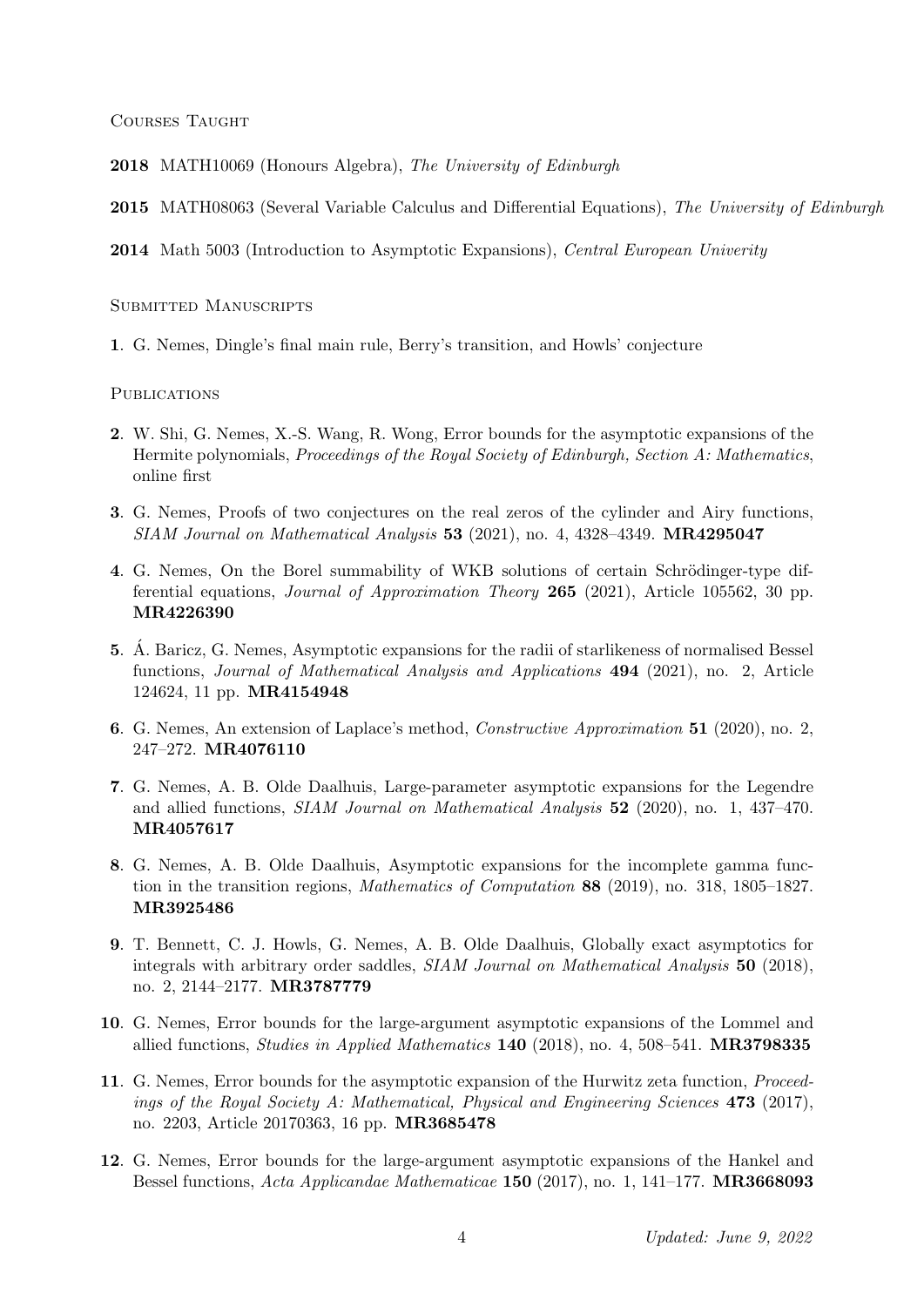COURSES TAUGHT

2018 MATH10069 (Honours Algebra), The University of Edinburgh

2015 MATH08063 (Several Variable Calculus and Differential Equations), The University of Edinburgh

2014 Math 5003 (Introduction to Asymptotic Expansions), Central European Univerity

SUBMITTED MANUSCRIPTS

1. G. Nemes, Dingle's final main rule, Berry's transition, and Howls' conjecture

PUBLICATIONS

- 2. W. Shi, G. Nemes, X.-S. Wang, R. Wong, Error bounds for the asymptotic expansions of the Hermite polynomials, Proceedings of the Royal Society of Edinburgh, Section A: Mathematics, online first
- 3. G. Nemes, Proofs of two conjectures on the real zeros of the cylinder and Airy functions,  $SIAM$  Journal on Mathematical Analysis 53 (2021), no. 4, 4328-4349. MR4295047
- 4. G. Nemes, On the Borel summability of WKB solutions of certain Schrödinger-type differential equations, Journal of Approximation Theory 265 (2021), Article 105562, 30 pp. MR4226390
- 5. A. Baricz, G. Nemes, Asymptotic expansions for the radii of starlikeness of normalised Bessel ´ functions, Journal of Mathematical Analysis and Applications 494 (2021), no. 2, Article 124624, 11 pp. MR4154948
- 6. G. Nemes, An extension of Laplace's method, Constructive Approximation 51 (2020), no. 2, 247–272. MR4076110
- 7. G. Nemes, A. B. Olde Daalhuis, Large-parameter asymptotic expansions for the Legendre and allied functions, SIAM Journal on Mathematical Analysis 52 (2020), no. 1, 437–470. MR4057617
- 8. G. Nemes, A. B. Olde Daalhuis, Asymptotic expansions for the incomplete gamma function in the transition regions, *Mathematics of Computation* 88 (2019), no. 318, 1805–1827. MR3925486
- 9. T. Bennett, C. J. Howls, G. Nemes, A. B. Olde Daalhuis, Globally exact asymptotics for integrals with arbitrary order saddles, *SIAM Journal on Mathematical Analysis* 50 (2018), no. 2, 2144–2177. MR3787779
- 10. G. Nemes, Error bounds for the large-argument asymptotic expansions of the Lommel and allied functions, Studies in Applied Mathematics 140 (2018), no. 4, 508–541. MR3798335
- 11. G. Nemes, Error bounds for the asymptotic expansion of the Hurwitz zeta function, Proceedings of the Royal Society A: Mathematical, Physical and Engineering Sciences  $473$  (2017), no. 2203, Article 20170363, 16 pp. MR3685478
- 12. G. Nemes, Error bounds for the large-argument asymptotic expansions of the Hankel and Bessel functions, Acta Applicandae Mathematicae 150 (2017), no. 1, 141–177. MR3668093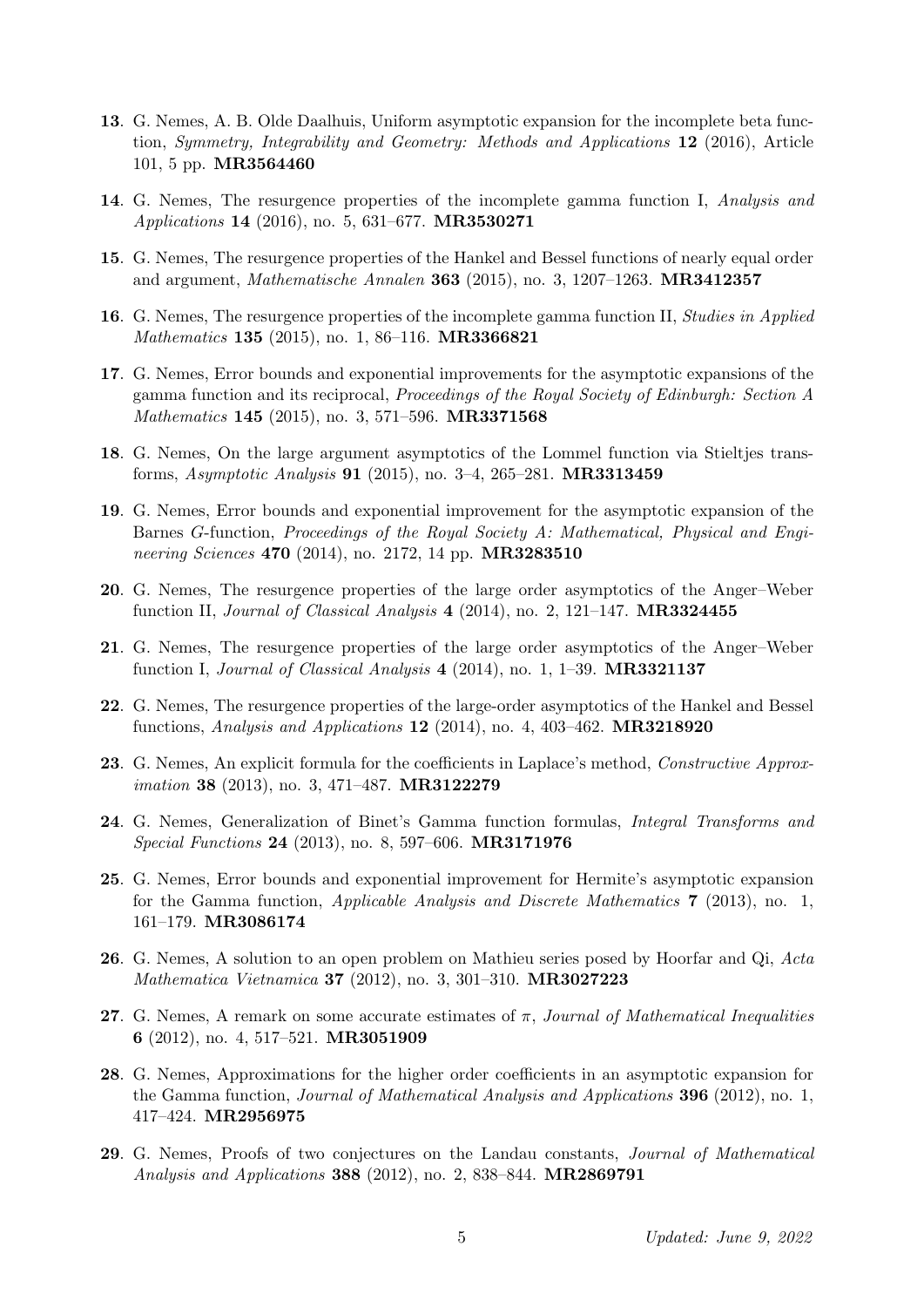- 13. G. Nemes, A. B. Olde Daalhuis, Uniform asymptotic expansion for the incomplete beta function, Symmetry, Integrability and Geometry: Methods and Applications 12 (2016), Article 101, 5 pp. MR3564460
- 14. G. Nemes, The resurgence properties of the incomplete gamma function I, Analysis and Applications 14 (2016), no. 5, 631–677. MR3530271
- 15. G. Nemes, The resurgence properties of the Hankel and Bessel functions of nearly equal order and argument, Mathematische Annalen 363 (2015), no. 3, 1207–1263. MR3412357
- **16.** G. Nemes, The resurgence properties of the incomplete gamma function II, *Studies in Applied* Mathematics 135 (2015), no. 1, 86-116. MR3366821
- 17. G. Nemes, Error bounds and exponential improvements for the asymptotic expansions of the gamma function and its reciprocal, Proceedings of the Royal Society of Edinburgh: Section A Mathematics 145 (2015), no. 3, 571-596. MR3371568
- 18. G. Nemes, On the large argument asymptotics of the Lommel function via Stieltjes transforms, Asymptotic Analysis 91 (2015), no. 3–4, 265–281. MR3313459
- 19. G. Nemes, Error bounds and exponential improvement for the asymptotic expansion of the Barnes G-function, Proceedings of the Royal Society A: Mathematical, Physical and Engineering Sciences 470 (2014), no. 2172, 14 pp. MR3283510
- 20. G. Nemes, The resurgence properties of the large order asymptotics of the Anger–Weber function II, Journal of Classical Analysis  $4$  (2014), no. 2, 121–147. MR3324455
- 21. G. Nemes, The resurgence properties of the large order asymptotics of the Anger–Weber function I, Journal of Classical Analysis  $4$  (2014), no. 1, 1–39. MR3321137
- 22. G. Nemes, The resurgence properties of the large-order asymptotics of the Hankel and Bessel functions, Analysis and Applications  $12$  (2014), no. 4, 403–462. MR3218920
- 23. G. Nemes, An explicit formula for the coefficients in Laplace's method, Constructive Approximation **38** (2013), no. 3, 471–487. **MR3122279**
- 24. G. Nemes, Generalization of Binet's Gamma function formulas, Integral Transforms and Special Functions 24 (2013), no. 8, 597–606. MR3171976
- 25. G. Nemes, Error bounds and exponential improvement for Hermite's asymptotic expansion for the Gamma function, Applicable Analysis and Discrete Mathematics 7 (2013), no. 1, 161–179. MR3086174
- 26. G. Nemes, A solution to an open problem on Mathieu series posed by Hoorfar and Qi, Acta Mathematica Vietnamica 37 (2012), no. 3, 301–310. MR3027223
- 27. G. Nemes, A remark on some accurate estimates of  $\pi$ , Journal of Mathematical Inequalities 6 (2012), no. 4, 517–521. MR3051909
- 28. G. Nemes, Approximations for the higher order coefficients in an asymptotic expansion for the Gamma function, Journal of Mathematical Analysis and Applications 396 (2012), no. 1, 417–424. MR2956975
- 29. G. Nemes, Proofs of two conjectures on the Landau constants, Journal of Mathematical Analysis and Applications 388 (2012), no. 2, 838–844. MR2869791